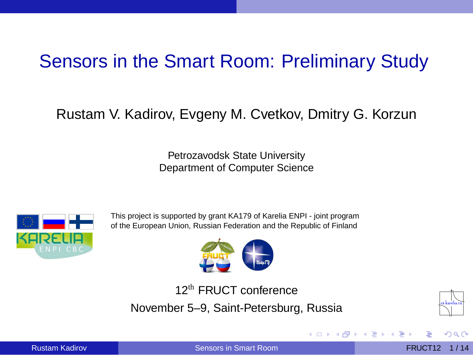# Sensors in the Smart Room: Preliminary Study

#### Rustam V. Kadirov, Evgeny M. Cvetkov, Dmitry G. Korzun

Petrozavodsk State University Department of Computer Science



This project is supported by grant KA179 of Karelia ENPI - joint program of the European Union, Russian Federation and the Republic of Finland



12th FRUCT conference November 5–9, Saint-Petersburg, Russia



<span id="page-0-0"></span> $\Omega$ 

Rustam Kadirov **[Sensors in Smart Room](#page-13-0) Sensors in Smart Room FRUCT12** 1/14

 $\leftarrow$   $\Box$   $\rightarrow$   $\leftarrow$   $\leftarrow$   $\Box$   $\rightarrow$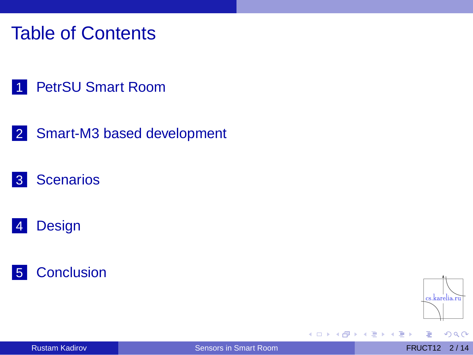## Table of Contents

#### 1 [PetrSU Smart Room](#page-2-0)

2 [Smart-M3 based development](#page-3-0)

#### 3 [Scenarios](#page-4-0)

#### 4 [Design](#page-10-0)

#### 5 [Conclusion](#page-13-0)



 $QQ$ 

画

×. ∍

4 m F ×.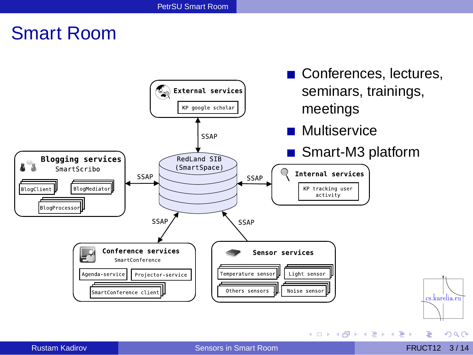### Smart Room



<span id="page-2-0"></span>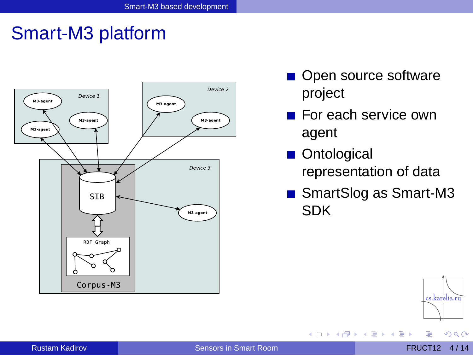### Smart-M3 platform



- Open source software project
- For each service own agent
- **Ontological** representation of data

 $+ \Box + 4 \Box$ 

 $\sim$ 

■ SmartSlog as Smart-M3 SDK

医全国医

 $\rightarrow$ 



<span id="page-3-0"></span> $QQ$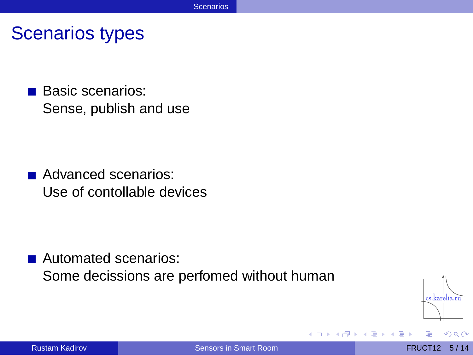Scenarios types

**Basic scenarios:** Sense, publish and use

Advanced scenarios: Use of contollable devices

■ Automated scenarios: Some decissions are perfomed without human



<span id="page-4-0"></span> $\Omega$   $\Omega$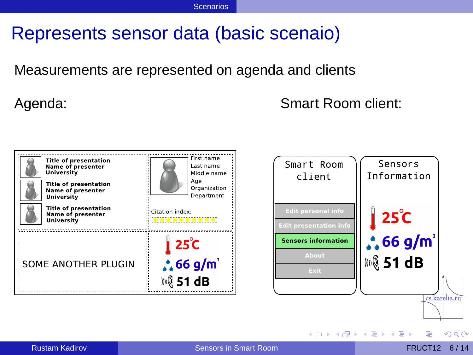# Represents sensor data (basic scenaio)

Measurements are represented on agenda and clients

Agenda: Smart Room client:





<span id="page-5-0"></span>イロト イ押 トイラト イラト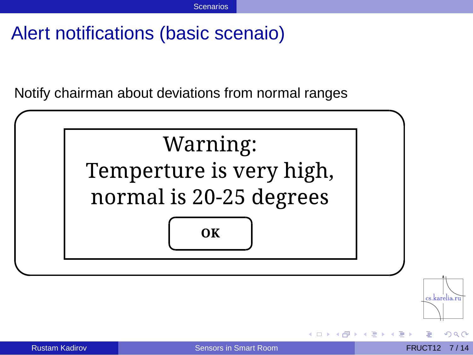# Alert notifications (basic scenaio)

Notify chairman about deviations from normal ranges



<span id="page-6-0"></span> $\Omega$   $\Omega$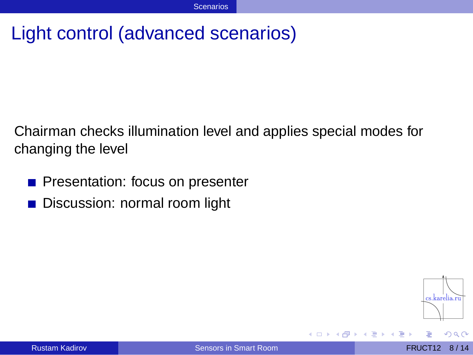# Light control (advanced scenarios)

Chairman checks illumination level and applies special modes for changing the level

- **Presentation: focus on presenter**
- Discussion: normal room light



<span id="page-7-0"></span> $\Omega$   $\Omega$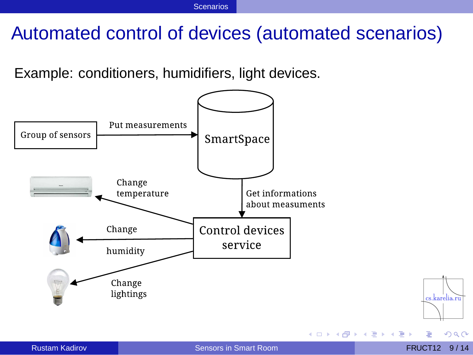# Automated control of devices (automated scenarios)

Example: conditioners, humidifiers, light devices.



<span id="page-8-0"></span> $\Omega$ 

**S** 

cs.karelia.ru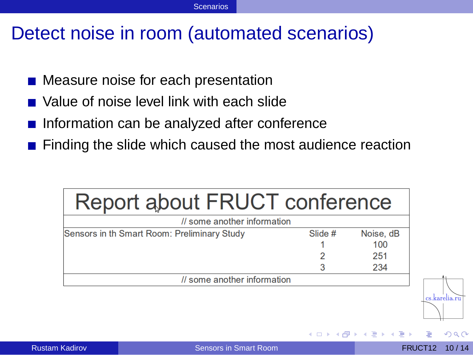## Detect noise in room (automated scenarios)

- Measure noise for each presentation
- Value of noise level link with each slide
- Information can be analyzed after conference
- **Finding the slide which caused the most audience reaction**

| Report about FRUCT conference               |         |           |
|---------------------------------------------|---------|-----------|
| // some another information                 |         |           |
| Sensors in th Smart Room: Preliminary Study | Slide # | Noise, dB |
|                                             |         | 100       |
|                                             |         | 251       |
|                                             |         | 234       |
| // some another information                 |         |           |

<span id="page-9-0"></span>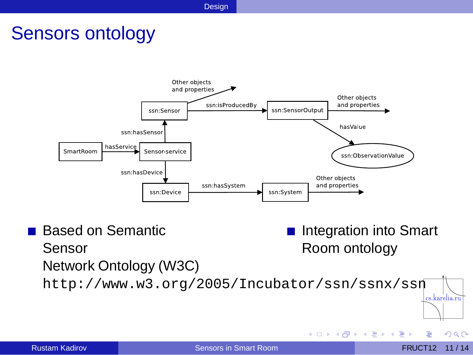### Sensors ontology



■ Based on Semantic Integration into Smart Sensor Room ontology Network Ontology (W3C) <http://www.w3.org/2005/Incubator/ssn/ssnx/ssn> cs.karelia.ru

<span id="page-10-0"></span> $QQ$ 

 $(0.12.10 \times 10^{-14} \times 10^{-14})$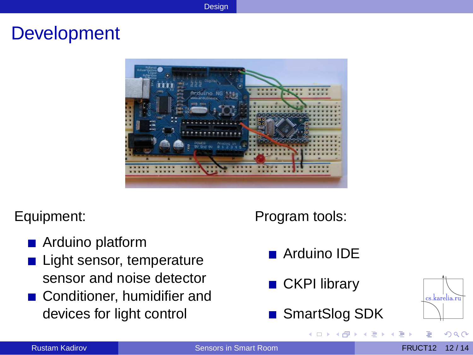#### **Development**



#### Equipment:

- Arduino platform
- Light sensor, temperature sensor and noise detector
- Conditioner, humidifier and devices for light control

#### Program tools:

- Arduino IDE
- **CKPI** library
- SmartSlog SDK

<span id="page-11-0"></span>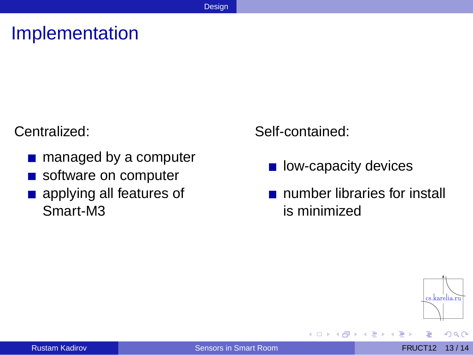# Implementation

Centralized:

- managed by a computer
- software on computer
- **a** applying all features of Smart-M3

Self-contained:

- low-capacity devices  $\mathcal{L}_{\mathcal{A}}$
- number libraries for install is minimized



<span id="page-12-0"></span> $QQ$ 

 $\sim$